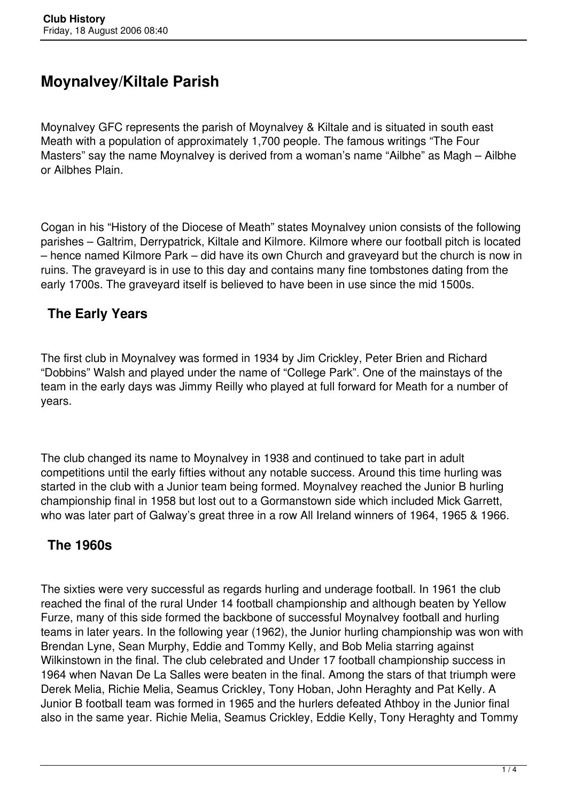# **Moynalvey/Kiltale Parish**

Moynalvey GFC represents the parish of Moynalvey & Kiltale and is situated in south east Meath with a population of approximately 1,700 people. The famous writings "The Four Masters" say the name Moynalvey is derived from a woman's name "Ailbhe" as Magh – Ailbhe or Ailbhes Plain.

Cogan in his "History of the Diocese of Meath" states Moynalvey union consists of the following parishes – Galtrim, Derrypatrick, Kiltale and Kilmore. Kilmore where our football pitch is located – hence named Kilmore Park – did have its own Church and graveyard but the church is now in ruins. The graveyard is in use to this day and contains many fine tombstones dating from the early 1700s. The graveyard itself is believed to have been in use since the mid 1500s.

# **The Early Years**

The first club in Moynalvey was formed in 1934 by Jim Crickley, Peter Brien and Richard "Dobbins" Walsh and played under the name of "College Park". One of the mainstays of the team in the early days was Jimmy Reilly who played at full forward for Meath for a number of years.

The club changed its name to Moynalvey in 1938 and continued to take part in adult competitions until the early fifties without any notable success. Around this time hurling was started in the club with a Junior team being formed. Moynalvey reached the Junior B hurling championship final in 1958 but lost out to a Gormanstown side which included Mick Garrett, who was later part of Galway's great three in a row All Ireland winners of 1964, 1965 & 1966.

# **The 1960s**

The sixties were very successful as regards hurling and underage football. In 1961 the club reached the final of the rural Under 14 football championship and although beaten by Yellow Furze, many of this side formed the backbone of successful Moynalvey football and hurling teams in later years. In the following year (1962), the Junior hurling championship was won with Brendan Lyne, Sean Murphy, Eddie and Tommy Kelly, and Bob Melia starring against Wilkinstown in the final. The club celebrated and Under 17 football championship success in 1964 when Navan De La Salles were beaten in the final. Among the stars of that triumph were Derek Melia, Richie Melia, Seamus Crickley, Tony Hoban, John Heraghty and Pat Kelly. A Junior B football team was formed in 1965 and the hurlers defeated Athboy in the Junior final also in the same year. Richie Melia, Seamus Crickley, Eddie Kelly, Tony Heraghty and Tommy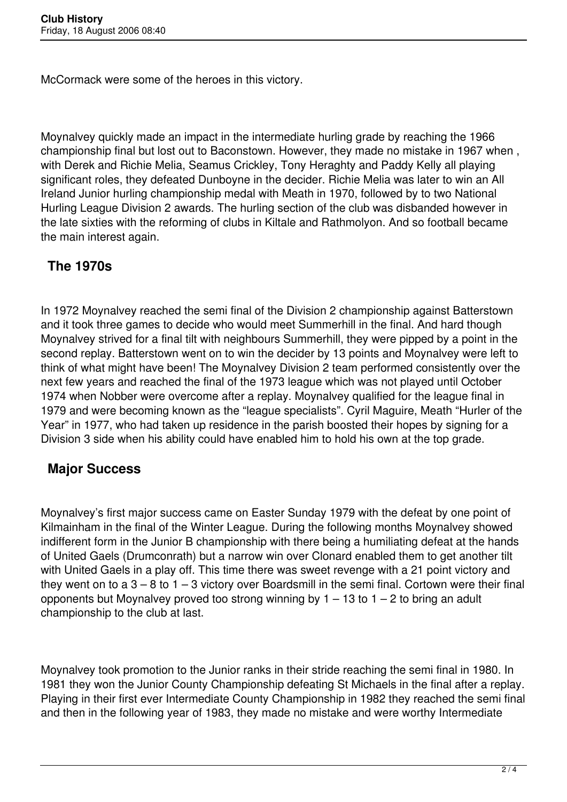McCormack were some of the heroes in this victory.

Moynalvey quickly made an impact in the intermediate hurling grade by reaching the 1966 championship final but lost out to Baconstown. However, they made no mistake in 1967 when , with Derek and Richie Melia, Seamus Crickley, Tony Heraghty and Paddy Kelly all playing significant roles, they defeated Dunboyne in the decider. Richie Melia was later to win an All Ireland Junior hurling championship medal with Meath in 1970, followed by to two National Hurling League Division 2 awards. The hurling section of the club was disbanded however in the late sixties with the reforming of clubs in Kiltale and Rathmolyon. And so football became the main interest again.

#### **The 1970s**

In 1972 Moynalvey reached the semi final of the Division 2 championship against Batterstown and it took three games to decide who would meet Summerhill in the final. And hard though Moynalvey strived for a final tilt with neighbours Summerhill, they were pipped by a point in the second replay. Batterstown went on to win the decider by 13 points and Moynalvey were left to think of what might have been! The Moynalvey Division 2 team performed consistently over the next few years and reached the final of the 1973 league which was not played until October 1974 when Nobber were overcome after a replay. Moynalvey qualified for the league final in 1979 and were becoming known as the "league specialists". Cyril Maguire, Meath "Hurler of the Year" in 1977, who had taken up residence in the parish boosted their hopes by signing for a Division 3 side when his ability could have enabled him to hold his own at the top grade.

#### **Major Success**

Moynalvey's first major success came on Easter Sunday 1979 with the defeat by one point of Kilmainham in the final of the Winter League. During the following months Moynalvey showed indifferent form in the Junior B championship with there being a humiliating defeat at the hands of United Gaels (Drumconrath) but a narrow win over Clonard enabled them to get another tilt with United Gaels in a play off. This time there was sweet revenge with a 21 point victory and they went on to  $a 3 - 8$  to  $1 - 3$  victory over Boardsmill in the semi final. Cortown were their final opponents but Moynalvey proved too strong winning by  $1 - 13$  to  $1 - 2$  to bring an adult championship to the club at last.

Moynalvey took promotion to the Junior ranks in their stride reaching the semi final in 1980. In 1981 they won the Junior County Championship defeating St Michaels in the final after a replay. Playing in their first ever Intermediate County Championship in 1982 they reached the semi final and then in the following year of 1983, they made no mistake and were worthy Intermediate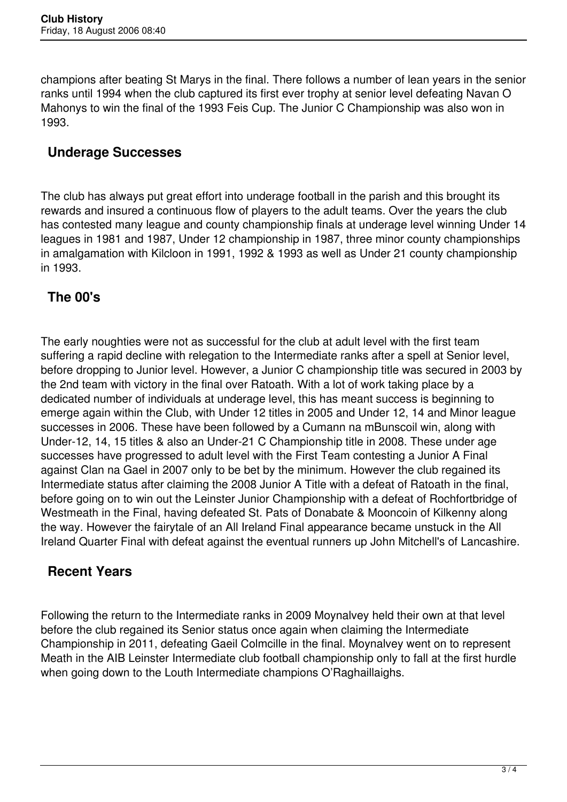champions after beating St Marys in the final. There follows a number of lean years in the senior ranks until 1994 when the club captured its first ever trophy at senior level defeating Navan O Mahonys to win the final of the 1993 Feis Cup. The Junior C Championship was also won in 1993.

#### **Underage Successes**

The club has always put great effort into underage football in the parish and this brought its rewards and insured a continuous flow of players to the adult teams. Over the years the club has contested many league and county championship finals at underage level winning Under 14 leagues in 1981 and 1987, Under 12 championship in 1987, three minor county championships in amalgamation with Kilcloon in 1991, 1992 & 1993 as well as Under 21 county championship in 1993.

# **The 00's**

The early noughties were not as successful for the club at adult level with the first team suffering a rapid decline with relegation to the Intermediate ranks after a spell at Senior level, before dropping to Junior level. However, a Junior C championship title was secured in 2003 by the 2nd team with victory in the final over Ratoath. With a lot of work taking place by a dedicated number of individuals at underage level, this has meant success is beginning to emerge again within the Club, with Under 12 titles in 2005 and Under 12, 14 and Minor league successes in 2006. These have been followed by a Cumann na mBunscoil win, along with Under-12, 14, 15 titles & also an Under-21 C Championship title in 2008. These under age successes have progressed to adult level with the First Team contesting a Junior A Final against Clan na Gael in 2007 only to be bet by the minimum. However the club regained its Intermediate status after claiming the 2008 Junior A Title with a defeat of Ratoath in the final, before going on to win out the Leinster Junior Championship with a defeat of Rochfortbridge of Westmeath in the Final, having defeated St. Pats of Donabate & Mooncoin of Kilkenny along the way. However the fairytale of an All Ireland Final appearance became unstuck in the All Ireland Quarter Final with defeat against the eventual runners up John Mitchell's of Lancashire.

# **Recent Years**

Following the return to the Intermediate ranks in 2009 Moynalvey held their own at that level before the club regained its Senior status once again when claiming the Intermediate Championship in 2011, defeating Gaeil Colmcille in the final. Moynalvey went on to represent Meath in the AIB Leinster Intermediate club football championship only to fall at the first hurdle when going down to the Louth Intermediate champions O'Raghaillaighs.